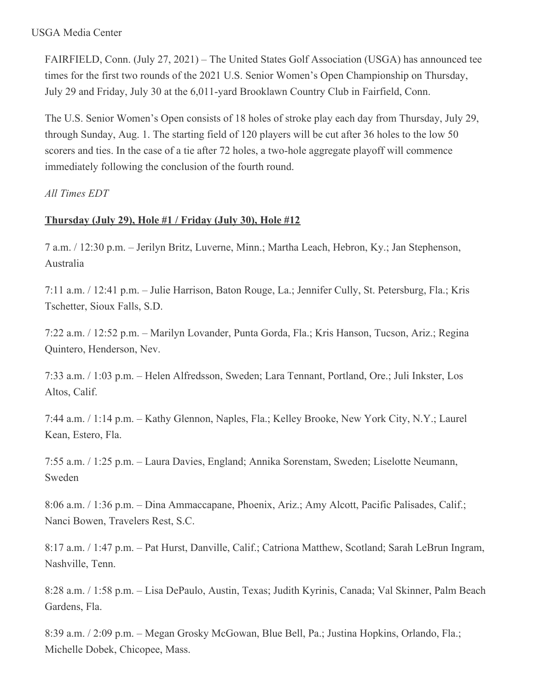#### USGA Media Center

FAIRFIELD, Conn. (July 27, 2021) – The United States Golf Association (USGA) has announced tee times for the first two rounds of the 2021 U.S. Senior Women's Open Championship on Thursday, July 29 and Friday, July 30 at the 6,011-yard Brooklawn Country Club in Fairfield, Conn.

The U.S. Senior Women's Open consists of 18 holes of stroke play each day from Thursday, July 29, through Sunday, Aug. 1. The starting field of 120 players will be cut after 36 holes to the low 50 scorers and ties. In the case of a tie after 72 holes, a two-hole aggregate playoff will commence immediately following the conclusion of the fourth round.

*All Times EDT*

# **Thursday (July 29), Hole #1 / Friday (July 30), Hole #12**

7 a.m. / 12:30 p.m. – Jerilyn Britz, Luverne, Minn.; Martha Leach, Hebron, Ky.; Jan Stephenson, Australia

7:11 a.m. / 12:41 p.m. – Julie Harrison, Baton Rouge, La.; Jennifer Cully, St. Petersburg, Fla.; Kris Tschetter, Sioux Falls, S.D.

7:22 a.m. / 12:52 p.m. – Marilyn Lovander, Punta Gorda, Fla.; Kris Hanson, Tucson, Ariz.; Regina Quintero, Henderson, Nev.

7:33 a.m. / 1:03 p.m. – Helen Alfredsson, Sweden; Lara Tennant, Portland, Ore.; Juli Inkster, Los Altos, Calif.

7:44 a.m. / 1:14 p.m. – Kathy Glennon, Naples, Fla.; Kelley Brooke, New York City, N.Y.; Laurel Kean, Estero, Fla.

7:55 a.m. / 1:25 p.m. – Laura Davies, England; Annika Sorenstam, Sweden; Liselotte Neumann, Sweden

8:06 a.m. / 1:36 p.m. – Dina Ammaccapane, Phoenix, Ariz.; Amy Alcott, Pacific Palisades, Calif.; Nanci Bowen, Travelers Rest, S.C.

8:17 a.m. / 1:47 p.m. – Pat Hurst, Danville, Calif.; Catriona Matthew, Scotland; Sarah LeBrun Ingram, Nashville, Tenn.

8:28 a.m. / 1:58 p.m. – Lisa DePaulo, Austin, Texas; Judith Kyrinis, Canada; Val Skinner, Palm Beach Gardens, Fla.

8:39 a.m. / 2:09 p.m. – Megan Grosky McGowan, Blue Bell, Pa.; Justina Hopkins, Orlando, Fla.; Michelle Dobek, Chicopee, Mass.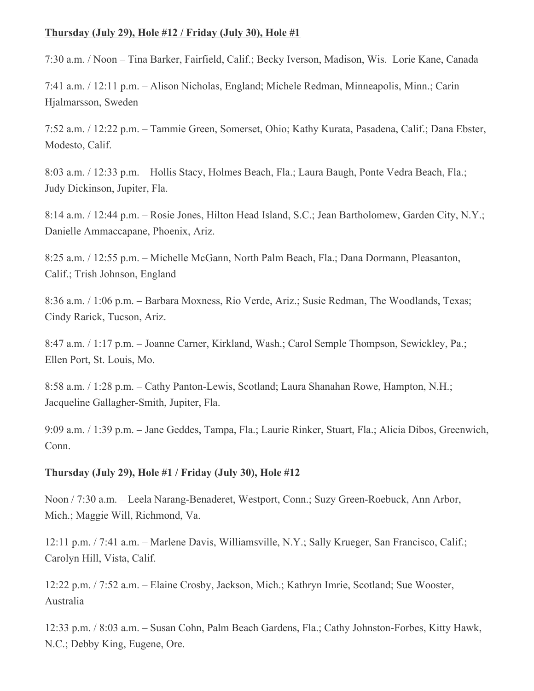### **Thursday (July 29), Hole #12 / Friday (July 30), Hole #1**

7:30 a.m. / Noon – Tina Barker, Fairfield, Calif.; Becky Iverson, Madison, Wis. Lorie Kane, Canada

7:41 a.m. / 12:11 p.m. – Alison Nicholas, England; Michele Redman, Minneapolis, Minn.; Carin Hjalmarsson, Sweden

7:52 a.m. / 12:22 p.m. – Tammie Green, Somerset, Ohio; Kathy Kurata, Pasadena, Calif.; Dana Ebster, Modesto, Calif.

8:03 a.m. / 12:33 p.m. – Hollis Stacy, Holmes Beach, Fla.; Laura Baugh, Ponte Vedra Beach, Fla.; Judy Dickinson, Jupiter, Fla.

8:14 a.m. / 12:44 p.m. – Rosie Jones, Hilton Head Island, S.C.; Jean Bartholomew, Garden City, N.Y.; Danielle Ammaccapane, Phoenix, Ariz.

8:25 a.m. / 12:55 p.m. – Michelle McGann, North Palm Beach, Fla.; Dana Dormann, Pleasanton, Calif.; Trish Johnson, England

8:36 a.m. / 1:06 p.m. – Barbara Moxness, Rio Verde, Ariz.; Susie Redman, The Woodlands, Texas; Cindy Rarick, Tucson, Ariz.

8:47 a.m. / 1:17 p.m. – Joanne Carner, Kirkland, Wash.; Carol Semple Thompson, Sewickley, Pa.; Ellen Port, St. Louis, Mo.

8:58 a.m. / 1:28 p.m. – Cathy Panton-Lewis, Scotland; Laura Shanahan Rowe, Hampton, N.H.; Jacqueline Gallagher-Smith, Jupiter, Fla.

9:09 a.m. / 1:39 p.m. – Jane Geddes, Tampa, Fla.; Laurie Rinker, Stuart, Fla.; Alicia Dibos, Greenwich, Conn.

## **Thursday (July 29), Hole #1 / Friday (July 30), Hole #12**

Noon / 7:30 a.m. – Leela Narang-Benaderet, Westport, Conn.; Suzy Green-Roebuck, Ann Arbor, Mich.; Maggie Will, Richmond, Va.

12:11 p.m. / 7:41 a.m. – Marlene Davis, Williamsville, N.Y.; Sally Krueger, San Francisco, Calif.; Carolyn Hill, Vista, Calif.

12:22 p.m. / 7:52 a.m. – Elaine Crosby, Jackson, Mich.; Kathryn Imrie, Scotland; Sue Wooster, Australia

12:33 p.m. / 8:03 a.m. – Susan Cohn, Palm Beach Gardens, Fla.; Cathy Johnston-Forbes, Kitty Hawk, N.C.; Debby King, Eugene, Ore.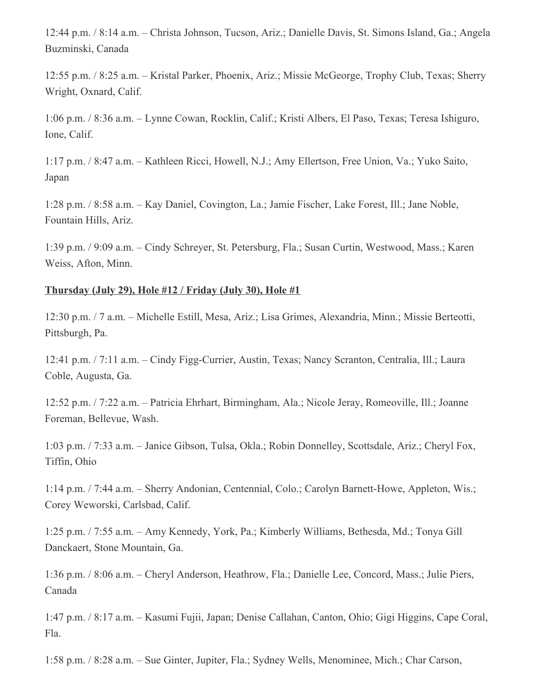12:44 p.m. / 8:14 a.m. – Christa Johnson, Tucson, Ariz.; Danielle Davis, St. Simons Island, Ga.; Angela Buzminski, Canada

12:55 p.m. / 8:25 a.m. – Kristal Parker, Phoenix, Ariz.; Missie McGeorge, Trophy Club, Texas; Sherry Wright, Oxnard, Calif.

1:06 p.m. / 8:36 a.m. – Lynne Cowan, Rocklin, Calif.; Kristi Albers, El Paso, Texas; Teresa Ishiguro, Ione, Calif.

1:17 p.m. / 8:47 a.m. – Kathleen Ricci, Howell, N.J.; Amy Ellertson, Free Union, Va.; Yuko Saito, Japan

1:28 p.m. / 8:58 a.m. – Kay Daniel, Covington, La.; Jamie Fischer, Lake Forest, Ill.; Jane Noble, Fountain Hills, Ariz.

1:39 p.m. / 9:09 a.m. – Cindy Schreyer, St. Petersburg, Fla.; Susan Curtin, Westwood, Mass.; Karen Weiss, Afton, Minn.

### **Thursday (July 29), Hole #12 / Friday (July 30), Hole #1**

12:30 p.m. / 7 a.m. – Michelle Estill, Mesa, Ariz.; Lisa Grimes, Alexandria, Minn.; Missie Berteotti, Pittsburgh, Pa.

12:41 p.m. / 7:11 a.m. – Cindy Figg-Currier, Austin, Texas; Nancy Scranton, Centralia, Ill.; Laura Coble, Augusta, Ga.

12:52 p.m. / 7:22 a.m. – Patricia Ehrhart, Birmingham, Ala.; Nicole Jeray, Romeoville, Ill.; Joanne Foreman, Bellevue, Wash.

1:03 p.m. / 7:33 a.m. – Janice Gibson, Tulsa, Okla.; Robin Donnelley, Scottsdale, Ariz.; Cheryl Fox, Tiffin, Ohio

1:14 p.m. / 7:44 a.m. – Sherry Andonian, Centennial, Colo.; Carolyn Barnett-Howe, Appleton, Wis.; Corey Weworski, Carlsbad, Calif.

1:25 p.m. / 7:55 a.m. – Amy Kennedy, York, Pa.; Kimberly Williams, Bethesda, Md.; Tonya Gill Danckaert, Stone Mountain, Ga.

1:36 p.m. / 8:06 a.m. – Cheryl Anderson, Heathrow, Fla.; Danielle Lee, Concord, Mass.; Julie Piers, Canada

1:47 p.m. / 8:17 a.m. – Kasumi Fujii, Japan; Denise Callahan, Canton, Ohio; Gigi Higgins, Cape Coral, Fla.

1:58 p.m. / 8:28 a.m. – Sue Ginter, Jupiter, Fla.; Sydney Wells, Menominee, Mich.; Char Carson,